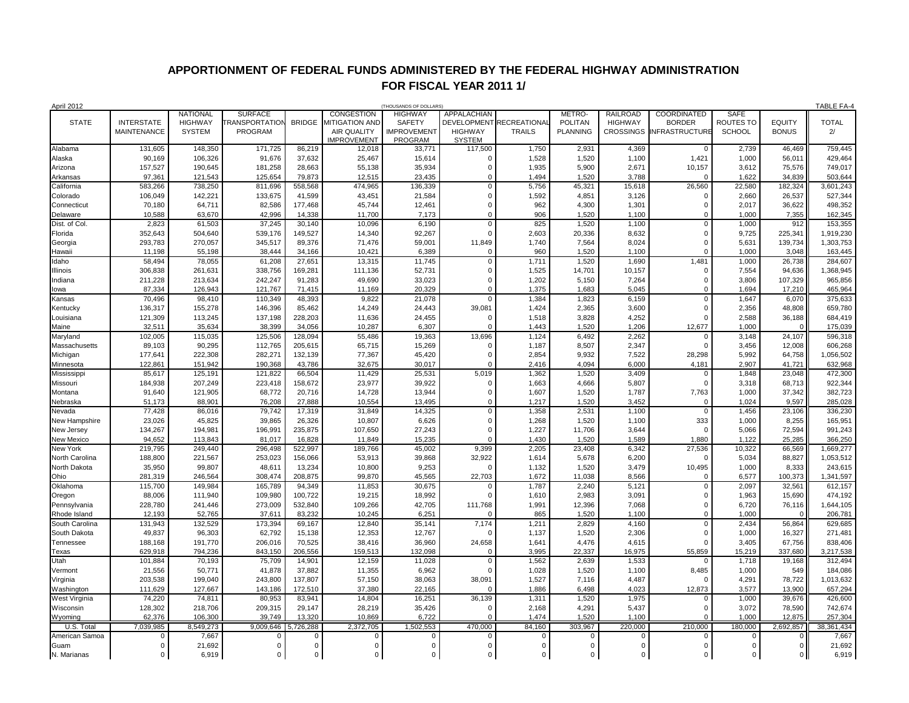## **APPORTIONMENT OF FEDERAL FUNDS ADMINISTERED BY THE FEDERAL HIGHWAY ADMINISTRATION FOR FISCAL YEAR 2011 1/**

| <b>April 2012</b><br>(THOUSANDS OF DOLLARS) |                    |                 |                      |               |                              |                    |                    |                     |                 |                  | <b>TABLE FA-4</b>     |             |               |              |
|---------------------------------------------|--------------------|-----------------|----------------------|---------------|------------------------------|--------------------|--------------------|---------------------|-----------------|------------------|-----------------------|-------------|---------------|--------------|
|                                             |                    | <b>NATIONAL</b> | <b>SURFACE</b>       |               | CONGESTION                   | <b>HIGHWAY</b>     | APPALACHIAN        |                     | METRO-          | <b>RAILROAD</b>  | COORDINATED           | SAFE        |               |              |
| <b>STATE</b>                                | <b>INTERSTATE</b>  | <b>HIGHWAY</b>  | <b>RANSPORTATION</b> | <b>BRIDGE</b> | <b><i>IITIGATION AND</i></b> | SAFETY             | <b>DEVELOPMENT</b> | <b>RECREATIONAL</b> | <b>POLITAN</b>  | <b>HIGHWAY</b>   | <b>BORDER</b>         | ROUTES TO   | <b>EQUITY</b> | <b>TOTAL</b> |
|                                             | <b>MAINTENANCE</b> | <b>SYSTEM</b>   | PROGRAM              |               | AIR QUALITY                  | <b>IMPROVEMENT</b> | <b>HIGHWAY</b>     | <b>TRAILS</b>       | <b>PLANNING</b> | <b>CROSSINGS</b> | <b>INFRASTRUCTURE</b> | SCHOOL      | <b>BONUS</b>  | 2/           |
|                                             |                    |                 |                      |               | <b>IMPROVEMENT</b>           | PROGRAM            | <b>SYSTEM</b>      |                     |                 |                  |                       |             |               |              |
| Alabama                                     | 131,605            | 148,350         | 171,725              | 86,219        | 12,018                       | 33,771             | 117,500            | 1,750               | 2,931           | 4,369            | $\Omega$              | 2,739       | 46,469        | 759,445      |
| Alaska                                      | 90.169             | 106.326         | 91,676               | 37.632        | 25,467                       | 15,614             | C                  | 1.528               | 1,520           | 1,100            | 1,421                 | 1,000       | 56,011        | 429,464      |
| Arizona                                     | 157,527            | 190,645         | 181,258              | 28,663        | 55,138                       | 35,934             | $\Omega$           | 1,935               | 5,900           | 2,671            | 10,157                | 3,612       | 75,576        | 749,017      |
| Arkansas                                    | 97,361             | 121,543         | 125,654              | 79,873        | 12,515                       | 23,435             | $\Omega$           | 1,494               | 1,520           | 3,788            | $\Omega$              | 1,622       | 34,839        | 503,644      |
| California                                  | 583,266            | 738,250         | 811,696              | 558,568       | 474,965                      | 136,339            | $\mathbf 0$        | 5,756               | 45,321          | 15,618           | 26,560                | 22,580      | 182,324       | 3,601,243    |
| Colorado                                    | 106,049            | 142,221         | 133,675              | 41,599        | 43,451                       | 21,584             | $\Omega$           | 1,592               | 4,851           | 3,126            | $\Omega$              | 2,660       | 26,537        | 527,344      |
| Connecticut                                 | 70,180             | 64,711          | 82,586               | 177,468       | 45,744                       | 12,461             | $\Omega$           | 962                 | 4,300           | 1,301            | $\Omega$              | 2,017       | 36,622        | 498,352      |
| Delaware                                    | 10,588             | 63,670          | 42,996               | 14,338        | 11,700                       | 7,173              | $\Omega$           | 906                 | 1,520           | 1,100            | $\Omega$              | 1,000       | 7,355         | 162,345      |
| Dist. of Col.                               | 2,823              | 61,503          | 37,245               | 30,140        | 10,096                       | 6,190              | $\mathbf 0$        | 825                 | 1,520           | 1,100            | $\Omega$              | 1,000       | 912           | 153,355      |
| Florida                                     | 352,643            | 504,640         | 539,176              | 149,527       | 14,340                       | 92,267             | $\sqrt{ }$         | 2,603               | 20,336          | 8,632            | $\Omega$              | 9,725       | 225,341       | 1,919,230    |
| Georgia                                     | 293,783            | 270,057         | 345,517              | 89,376        | 71,476                       | 59,001             | 11,849             | 1,740               | 7,564           | 8,024            | $\mathbf 0$           | 5,631       | 139,734       | 1,303,753    |
| Hawaii                                      | 11.198             | 55,198          | 38,444               | 34.166        | 10,421                       | 6.389              | $\sqrt{ }$         | 960                 | 1,520           | 1,100            | $\Omega$              | 1.000       | 3.048         | 163.445      |
| Idaho                                       | 58,494             | 78,055          | 61,208               | 27,651        | 13,315                       | 11,745             | $\mathbf 0$        | 1,711               | 1,520           | 1,690            | 1,481                 | 1,000       | 26,738        | 284,607      |
| <b>Ilinois</b>                              | 306,838            | 261,631         | 338,756              | 169,281       | 111,136                      | 52,731             | $\Omega$           | 1,525               | 14,701          | 10,157           | $\mathbf 0$           | 7,554       | 94,636        | 1,368,945    |
| ndiana                                      | 211,228            | 213,634         | 242,247              | 91,283        | 49,690                       | 33,023             | $\Omega$           | 1,202               | 5,150           | 7,264            | $\Omega$              | 3,806       | 107,329       | 965,856      |
| owa                                         | 87,334             | 126,943         | 121,767              | 71,415        | 11,169                       | 20,329             | $\Omega$           | 1,375               | 1,683           | 5,045            | $\Omega$              | 1,694       | 17,210        | 465,964      |
| Kansas                                      | 70,496             | 98,410          | 110,349              | 48,393        | 9,822                        | 21,078             | $\Omega$           | 1,384               | 1,823           | 6,159            | $\Omega$              | 1,647       | 6,070         | 375,633      |
| Kentucky                                    | 136,317            | 155,278         | 146,396              | 85,462        | 14,249                       | 24,443             | 39,081             | 1,424               | 2,365           | 3,600            | $\Omega$              | 2,356       | 48,808        | 659,780      |
| Louisiana                                   | 121,309            | 113,245         | 137,198              | 228,203       | 11,636                       | 24,455             | $\sqrt{ }$         | 1,518               | 3,828           | 4,252            | $\Omega$              | 2,588       | 36,188        | 684,419      |
| Maine                                       | 32,511             | 35,634          | 38,399               | 34,056        | 10,287                       | 6,307              | $\sqrt{ }$         | 1,443               | 1,520           | 1,206            | 12,677                | 1,000       | $\Omega$      | 175,039      |
| Maryland                                    | 102,005            | 115,035         | 125,506              | 128,094       | 55,486                       | 19,363             | 13,696             | 1,124               | 6,492           | 2,262            |                       | 3,148       | 24,107        | 596,318      |
| Massachusetts                               | 89,103             | 90,295          | 112,765              | 205,615       | 65,715                       | 15,269             | $\sqrt{ }$         | 1,187               | 8,507           | 2,347            | $\Omega$              | 3,456       | 12,008        | 606,268      |
| Michigan                                    | 177,641            | 222,308         | 282,271              | 132,139       | 77,367                       | 45,420             | $\sqrt{ }$         | 2,854               | 9,932           | 7,522            | 28,298                | 5,992       | 64,758        | 1,056,502    |
| Minnesota                                   | 122,861            | 151,942         | 190,368              | 43,786        | 32,675                       | 30,017             | $\sqrt{ }$         | 2,416               | 4,094           | 6,000            | 4,181                 | 2,907       | 41,721        | 632,968      |
| Mississippi                                 | 85,617             | 125,191         | 121,822              | 66,504        | 11,429                       | 25,531             | 5,019              | 1,362               | 1,520           | 3,409            | $\Omega$              | 1,848       | 23,048        | 472,300      |
| Missouri                                    | 184,938            | 207,249         | 223,418              | 158,672       | 23,977                       | 39,922             | $\mathbf{C}$       | 1,663               | 4,666           | 5,807            | $\Omega$              | 3,318       | 68,713        | 922,344      |
| Montana                                     | 91,640             | 121,905         | 68,772               | 20,716        | 14,728                       | 13,944             | $\Omega$           | 1,607               | 1,520           | 1,787            | 7,763                 | 1,000       | 37,342        | 382,723      |
| Nebraska                                    | 51,173             | 88,901          | 76,208               | 27,888        | 10,554                       | 13,495             | $\Omega$           | 1,217               | 1,520           | 3,452            | $\mathbf 0$           | 1,024       | 9,597         | 285,028      |
| Nevada                                      | 77,428             | 86,016          | 79,742               | 17,319        | 31,849                       | 14,325             | $\Omega$           | 1,358               | 2,531           | 1,100            | $\overline{0}$        | 1,456       | 23,106        | 336,230      |
| New Hampshire                               | 23,026             | 45,825          | 39,865               | 26,326        | 10,807                       | 6,626              | $\Omega$           | 1,268               | 1,520           | 1,100            | 333                   | 1,000       | 8,255         | 165,951      |
| New Jersey                                  | 134,267            | 194,981         | 196,991              | 235,875       | 107,650                      | 27,243             | $\Omega$           | 1,227               | 11,706          | 3,644            | $\Omega$              | 5,066       | 72,594        | 991,243      |
| New Mexico                                  | 94,652             | 113,843         | 81,017               | 16,828        | 11,849                       | 15,235             | $\Omega$           | 1,430               | 1,520           | 1,589            | 1,880                 | 1,122       | 25,285        | 366,250      |
| New York                                    | 219,795            | 249,440         | 296,498              | 522,997       | 189,766                      | 45,002             | 9,399              | 2,205               | 23,408          | 6,342            | 27,536                | 10,322      | 66,569        | 1,669,277    |
| North Carolina                              | 188,800            | 221,567         | 253,023              | 156,066       | 53,913                       | 39,868             | 32,922             | 1,614               | 5,678           | 6,200            | $\Omega$              | 5,034       | 88,827        | 1,053,512    |
| North Dakota                                | 35,950             | 99,807          | 48,611               | 13,234        | 10,800                       | 9,253              | $\sqrt{ }$         | 1,132               | 1,520           | 3,479            | 10,495                | 1,000       | 8,333         | 243,615      |
| Ohio                                        | 281,319            | 246,564         | 308,474              | 208,875       | 99,870                       | 45,565             | 22,703             | 1,672               | 11,038          | 8,566            | $\mathbf 0$           | 6,577       | 100,373       | 1,341,597    |
| Oklahoma                                    | 115,700            | 149,984         | 165,789              | 94,349        | 11,853                       | 30,675             | $\Omega$           | 1,787               | 2,240           | 5,121            | $\Omega$              | 2,097       | 32,561        | 612,157      |
| Oregon                                      | 88,006             | 111,940         | 109,980              | 100,722       | 19,215                       | 18,992             | $\sqrt{ }$         | 1,610               | 2,983           | 3,091            | $\Omega$              | 1,963       | 15,690        | 474,192      |
| Pennsylvania                                | 228,780            | 241,446         | 273,009              | 532,840       | 109,266                      | 42,705             | 111,768            | 1,991               | 12,396          | 7,068            | $\Omega$              | 6,720       | 76,116        | 1,644,105    |
| Rhode Island                                | 12,193             | 52,765          | 37,611               | 83,232        | 10,245                       | 6,251              | $\sqrt{ }$         | 865                 | 1,520           | 1,100            | $\mathbf{0}$          | 1,000       | $\Omega$      | 206,781      |
| South Carolina                              | 131,943            | 132,529         | 173,394              | 69,167        | 12,840                       | 35,141             | 7,174              | 1,211               | 2,829           | 4,160            | $\Omega$              | 2,434       | 56,864        | 629,685      |
| South Dakota                                | 49,837             | 96,303          | 62,792               | 15,138        | 12,353                       | 12,767             | $\sqrt{ }$         | 1,137               | 1,520           | 2,306            | $\Omega$              | 1,000       | 16,327        | 271,481      |
| Tennessee                                   | 188,168            | 191,770         | 206,016              | 70,525        | 38,416                       | 36,960             | 24,658             | 1,641               | 4,476           | 4,615            | $\Omega$              | 3,405       | 67,756        | 838,406      |
| Texas                                       | 629,918            | 794,236         | 843,150              | 206,556       | 159,513                      | 132,098            | $\mathbf{C}$       | 3.995               | 22,337          | 16,975           | 55,859                | 15,219      | 337.680       | 3,217,538    |
| Utah                                        | 101,884            | 70,193          | 75,709               | 14,901        | 12,159                       | 11,028             | $\Omega$           | 1,562               | 2,639           | 1,533            | $\Omega$              | 1,718       | 19,168        | 312,494      |
| Vermont                                     | 21,556             | 50,771          | 41,878               | 37,882        | 11,355                       | 6,962              | $\Omega$           | 1,028               | 1,520           | 1,100            | 8,485                 | 1,000       | 549           | 184,086      |
| Virginia                                    | 203,538            | 199,040         | 243,800              | 137,807       | 57,150                       | 38,063             | 38,091             | 1,527               | 7,116           | 4,487            | $\Omega$              | 4,291       | 78,722        | 1,013,632    |
| Washington                                  | 111,629            | 127,667         | 143,186              | 172,510       | 37,380                       | 22,165             | $\sqrt{ }$         | 1,886               | 6,498           | 4,023            | 12,873                | 3,577       | 13,900        | 657,294      |
| West Virginia                               | 74,220             | 74,811          | 80,953               | 83,941        | 14,804                       | 16,251             | 36,139             | 1,311               | 1,520           | 1,975            |                       | 1,000       | 39,676        | 426,600      |
| Wisconsin                                   | 128,302            | 218,706         | 209,315              | 29,147        | 28,219                       | 35,426             | $\mathbf{C}$       | 2,168               | 4,291           | 5,437            | $\Omega$              | 3,072       | 78,590        | 742,674      |
| Wyoming                                     | 62.376             | 106.300         | 39.749               | 13.320        | 10.869                       | 6.722              |                    | 1.474               | 1.520           | 1.100            |                       | 1.000       | 12.875        | 257,304      |
| U.S. Total                                  | 7,039,985          | 8,549,273       | 9,009,646            | 5,726,288     | 2,372,705                    | 1,502,553          | 470,000            | 84,160              | 303,967         | 220,000          | 210,000               | 180,000     | 2,692,857     | 38,361,434   |
| American Samoa                              | $\Omega$           | 7,667           | 0                    | $\Omega$      | $\Omega$                     | $\Omega$           | 0                  | $\Omega$            | $\Omega$        | 0                | $\Omega$              | 0           | $\mathbf{0}$  | 7,667        |
| Guam                                        | $\mathbf 0$        | 21,692          | $\mathbf 0$          | $\mathbf 0$   | $\mathbf 0$                  | $\mathbf 0$        | $\Omega$           | $\Omega$            | $\Omega$        | $\mathbf 0$      | $\Omega$              | $\mathsf 0$ | $\circ$       | 21,692       |
| N. Marianas                                 | $\mathbf 0$        | 6,919           | $\mathbf{0}$         | $\mathbf{0}$  | $\overline{0}$               | $\mathsf 0$        | $\mathbf{0}$       | $\mathbf 0$         | $\mathbf 0$     | $\mathbf 0$      | $\Omega$              | $\mathsf 0$ | $\circ$ II    | 6,919        |